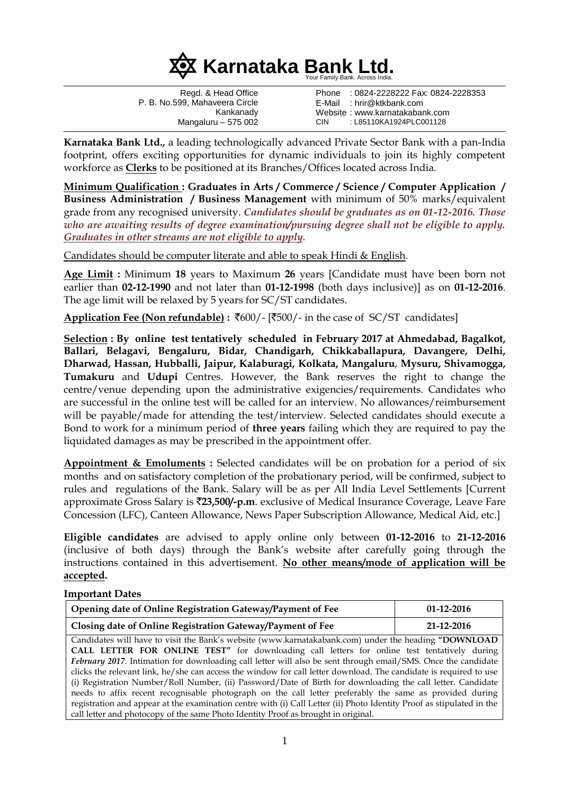

Regd. & Head Office P. B. No.599, Mahaveera Circle Kankanady Mangaluru – 575 002 Phone : 0824-2228222 Fax: 0824-2228353 E-Mail : hrir@ktkbank.com Website : www.karnatakabank.com CIN : L85110KA1924PLC001128

**Karnataka Bank Ltd.,** a leading technologically advanced Private Sector Bank with a pan-India footprint, offers exciting opportunities for dynamic individuals to join its highly competent workforce as **Clerks** to be positioned at its Branches/Offices located across India.

**Minimum Qualification : Graduates in Arts / Commerce / Science / Computer Application / Business Administration / Business Management** with minimum of 50% marks/equivalent grade from any recognised university. *Candidates should be graduates as on 01-12-2016. Those who are awaiting results of degree examination/pursuing degree shall not be eligible to apply. Graduates in other streams are not eligible to apply.*

Candidates should be computer literate and able to speak Hindi & English.

**Age Limit :** Minimum **18** years to Maximum **26** years [Candidate must have been born not earlier than **02-12-1990** and not later than **01-12-1998** (both days inclusive)] as on **01-12-2016**. The age limit will be relaxed by 5 years for SC/ST candidates.

Application Fee (Non refundable) : ₹600/- [₹500/- in the case of SC/ST candidates]

**Selection : By online test tentatively scheduled in February 2017 at Ahmedabad, Bagalkot, Ballari, Belagavi, Bengaluru, Bidar, Chandigarh, Chikkaballapura, Davangere, Delhi, Dharwad, Hassan, Hubballi, Jaipur, Kalaburagi, Kolkata, Mangaluru**, **Mysuru, Shivamogga, Tumakuru** and **Udupi** Centres. However, the Bank reserves the right to change the centre/venue depending upon the administrative exigencies/requirements. Candidates who are successful in the online test will be called for an interview. No allowances/reimbursement will be payable/made for attending the test/interview. Selected candidates should execute a Bond to work for a minimum period of **three years** failing which they are required to pay the liquidated damages as may be prescribed in the appointment offer.

**Appointment & Emoluments :** Selected candidates will be on probation for a period of six months and on satisfactory completion of the probationary period, will be confirmed, subject to rules and regulations of the Bank. Salary will be as per All India Level Settlements [Current approximate Gross Salary is `**23,500/-p.m**. exclusive of Medical Insurance Coverage, Leave Fare Concession (LFC), Canteen Allowance, News Paper Subscription Allowance, Medical Aid, etc.]

**Eligible candidates** are advised to apply online only between **01-12-2016** to **21-12-2016** (inclusive of both days) through the Bank's website after carefully going through the instructions contained in this advertisement. **No other means/mode of application will be accepted.** 

#### **Important Dates**

| Opening date of Online Registration Gateway/Payment of Fee | $01-12-2016$ |
|------------------------------------------------------------|--------------|
| Closing date of Online Registration Gateway/Payment of Fee | 21-12-2016   |

Candidates will have to visit the Bank's website (www.karnatakabank.com) under the heading **"DOWNLOAD CALL LETTER FOR ONLINE TEST"** for downloading call letters for online test tentatively during *February 2017*. Intimation for downloading call letter will also be sent through email/SMS. Once the candidate clicks the relevant link, he/she can access the window for call letter download. The candidate is required to use (i) Registration Number/Roll Number, (ii) Password/Date of Birth for downloading the call letter. Candidate needs to affix recent recognisable photograph on the call letter preferably the same as provided during registration and appear at the examination centre with (i) Call Letter (ii) Photo Identity Proof as stipulated in the call letter and photocopy of the same Photo Identity Proof as brought in original.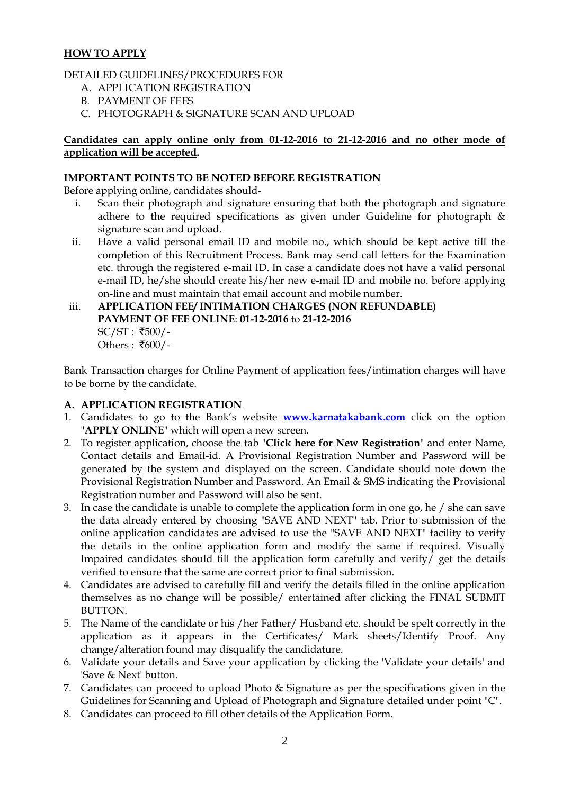# **HOW TO APPLY**

### DETAILED GUIDELINES/PROCEDURES FOR

- A. APPLICATION REGISTRATION
- B. PAYMENT OF FEES
- C. PHOTOGRAPH & SIGNATURE SCAN AND UPLOAD

#### **Candidates can apply online only from 01-12-2016 to 21-12-2016 and no other mode of application will be accepted.**

#### **IMPORTANT POINTS TO BE NOTED BEFORE REGISTRATION**

Before applying online, candidates should-

- i. Scan their photograph and signature ensuring that both the photograph and signature adhere to the required specifications as given under Guideline for photograph & signature scan and upload.
- ii. Have a valid personal email ID and mobile no., which should be kept active till the completion of this Recruitment Process. Bank may send call letters for the Examination etc. through the registered e-mail ID. In case a candidate does not have a valid personal e-mail ID, he/she should create his/her new e-mail ID and mobile no. before applying on-line and must maintain that email account and mobile number.
- iii. **APPLICATION FEE/ INTIMATION CHARGES (NON REFUNDABLE) PAYMENT OF FEE ONLINE**: **01-12-2016** to **21-12-2016**  $SC/ST : ₹500/-$ Others :  $\overline{\xi}600$ /-

Bank Transaction charges for Online Payment of application fees/intimation charges will have to be borne by the candidate.

# **A. APPLICATION REGISTRATION**

- 1. Candidates to go to the Bank's website **[www.karnatakabank.com](http://www.karnatakabank.com/)** click on the option "**APPLY ONLINE**" which will open a new screen.
- 2. To register application, choose the tab "**Click here for New Registration**" and enter Name, Contact details and Email-id. A Provisional Registration Number and Password will be generated by the system and displayed on the screen. Candidate should note down the Provisional Registration Number and Password. An Email & SMS indicating the Provisional Registration number and Password will also be sent.
- 3. In case the candidate is unable to complete the application form in one go, he / she can save the data already entered by choosing "SAVE AND NEXT" tab. Prior to submission of the online application candidates are advised to use the "SAVE AND NEXT" facility to verify the details in the online application form and modify the same if required. Visually Impaired candidates should fill the application form carefully and verify/ get the details verified to ensure that the same are correct prior to final submission.
- 4. Candidates are advised to carefully fill and verify the details filled in the online application themselves as no change will be possible/ entertained after clicking the FINAL SUBMIT BUTTON.
- 5. The Name of the candidate or his /her Father/ Husband etc. should be spelt correctly in the application as it appears in the Certificates/ Mark sheets/Identify Proof. Any change/alteration found may disqualify the candidature.
- 6. Validate your details and Save your application by clicking the 'Validate your details' and 'Save & Next' button.
- 7. Candidates can proceed to upload Photo & Signature as per the specifications given in the Guidelines for Scanning and Upload of Photograph and Signature detailed under point "C".
- 8. Candidates can proceed to fill other details of the Application Form.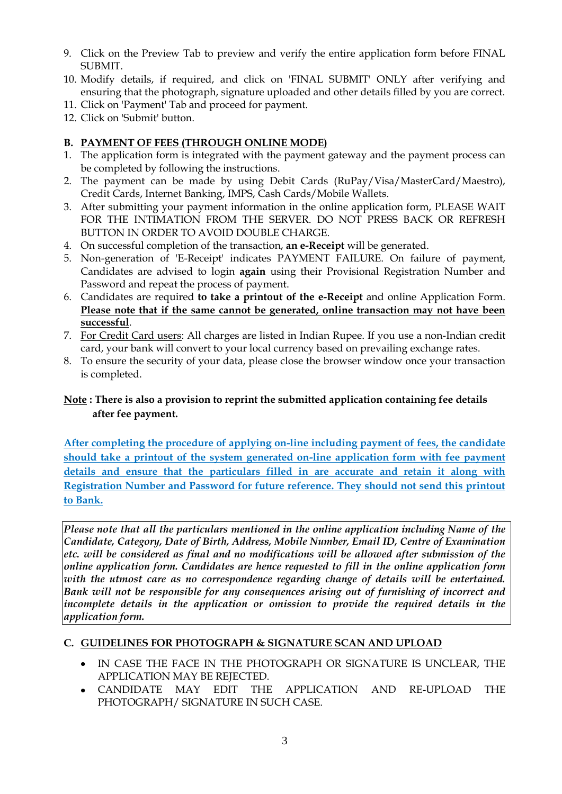- 9. Click on the Preview Tab to preview and verify the entire application form before FINAL SUBMIT.
- 10. Modify details, if required, and click on 'FINAL SUBMIT' ONLY after verifying and ensuring that the photograph, signature uploaded and other details filled by you are correct.
- 11. Click on 'Payment' Tab and proceed for payment.
- 12. Click on 'Submit' button.

# **B. PAYMENT OF FEES (THROUGH ONLINE MODE)**

- 1. The application form is integrated with the payment gateway and the payment process can be completed by following the instructions.
- 2. The payment can be made by using Debit Cards (RuPay/Visa/MasterCard/Maestro), Credit Cards, Internet Banking, IMPS, Cash Cards/Mobile Wallets.
- 3. After submitting your payment information in the online application form, PLEASE WAIT FOR THE INTIMATION FROM THE SERVER. DO NOT PRESS BACK OR REFRESH BUTTON IN ORDER TO AVOID DOUBLE CHARGE.
- 4. On successful completion of the transaction, **an e-Receipt** will be generated.
- 5. Non-generation of 'E-Receipt' indicates PAYMENT FAILURE. On failure of payment, Candidates are advised to login **again** using their Provisional Registration Number and Password and repeat the process of payment.
- 6. Candidates are required **to take a printout of the e-Receipt** and online Application Form. **Please note that if the same cannot be generated, online transaction may not have been successful**.
- 7. For Credit Card users: All charges are listed in Indian Rupee. If you use a non-Indian credit card, your bank will convert to your local currency based on prevailing exchange rates.
- 8. To ensure the security of your data, please close the browser window once your transaction is completed.

# **Note : There is also a provision to reprint the submitted application containing fee details after fee payment.**

**After completing the procedure of applying on-line including payment of fees, the candidate should take a printout of the system generated on-line application form with fee payment details and ensure that the particulars filled in are accurate and retain it along with Registration Number and Password for future reference. They should not send this printout to Bank.**

*Please note that all the particulars mentioned in the online application including Name of the Candidate, Category, Date of Birth, Address, Mobile Number, Email ID, Centre of Examination etc. will be considered as final and no modifications will be allowed after submission of the online application form. Candidates are hence requested to fill in the online application form with the utmost care as no correspondence regarding change of details will be entertained. Bank will not be responsible for any consequences arising out of furnishing of incorrect and incomplete details in the application or omission to provide the required details in the application form.*

# **C. GUIDELINES FOR PHOTOGRAPH & SIGNATURE SCAN AND UPLOAD**

- IN CASE THE FACE IN THE PHOTOGRAPH OR SIGNATURE IS UNCLEAR, THE APPLICATION MAY BE REIECTED.
- CANDIDATE MAY EDIT THE APPLICATION AND RE-UPLOAD THE  $\bullet$ PHOTOGRAPH/ SIGNATURE IN SUCH CASE.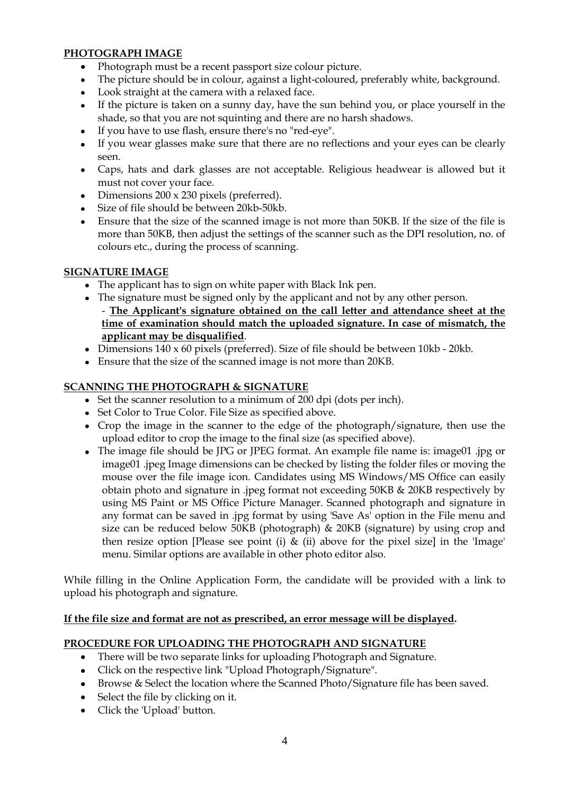# **PHOTOGRAPH IMAGE**

- Photograph must be a recent passport size colour picture.
- The picture should be in colour, against a light-coloured, preferably white, background.  $\bullet$
- Look straight at the camera with a relaxed face.
- If the picture is taken on a sunny day, have the sun behind you, or place yourself in the shade, so that you are not squinting and there are no harsh shadows.
- If you have to use flash, ensure there's no "red-eye".
- If you wear glasses make sure that there are no reflections and your eyes can be clearly  $\bullet$ seen.
- Caps, hats and dark glasses are not acceptable. Religious headwear is allowed but it must not cover your face.
- Dimensions 200 x 230 pixels (preferred).
- Size of file should be between 20kb-50kb.
- Ensure that the size of the scanned image is not more than 50KB. If the size of the file is more than 50KB, then adjust the settings of the scanner such as the DPI resolution, no. of colours etc., during the process of scanning.

# **SIGNATURE IMAGE**

- The applicant has to sign on white paper with Black Ink pen.
- The signature must be signed only by the applicant and not by any other person. - **The Applicant's signature obtained on the call letter and attendance sheet at the time of examination should match the uploaded signature. In case of mismatch, the applicant may be disqualified**.
- Dimensions 140 x 60 pixels (preferred). Size of file should be between 10kb 20kb.
- Ensure that the size of the scanned image is not more than 20KB.

# **SCANNING THE PHOTOGRAPH & SIGNATURE**

- Set the scanner resolution to a minimum of 200 dpi (dots per inch).
- Set Color to True Color. File Size as specified above.
- Crop the image in the scanner to the edge of the photograph/signature, then use the upload editor to crop the image to the final size (as specified above).
- The image file should be JPG or JPEG format. An example file name is: image01 .jpg or image01 .jpeg Image dimensions can be checked by listing the folder files or moving the mouse over the file image icon. Candidates using MS Windows/MS Office can easily obtain photo and signature in .jpeg format not exceeding 50KB & 20KB respectively by using MS Paint or MS Office Picture Manager. Scanned photograph and signature in any format can be saved in .jpg format by using 'Save As' option in the File menu and size can be reduced below 50KB (photograph) & 20KB (signature) by using crop and then resize option [Please see point (i)  $\&$  (ii) above for the pixel size] in the 'Image' menu. Similar options are available in other photo editor also.

While filling in the Online Application Form, the candidate will be provided with a link to upload his photograph and signature.

#### **If the file size and format are not as prescribed, an error message will be displayed.**

#### **PROCEDURE FOR UPLOADING THE PHOTOGRAPH AND SIGNATURE**

- There will be two separate links for uploading Photograph and Signature.
- Click on the respective link "Upload Photograph/Signature".
- Browse & Select the location where the Scanned Photo/Signature file has been saved.
- Select the file by clicking on it.
- Click the 'Upload' button.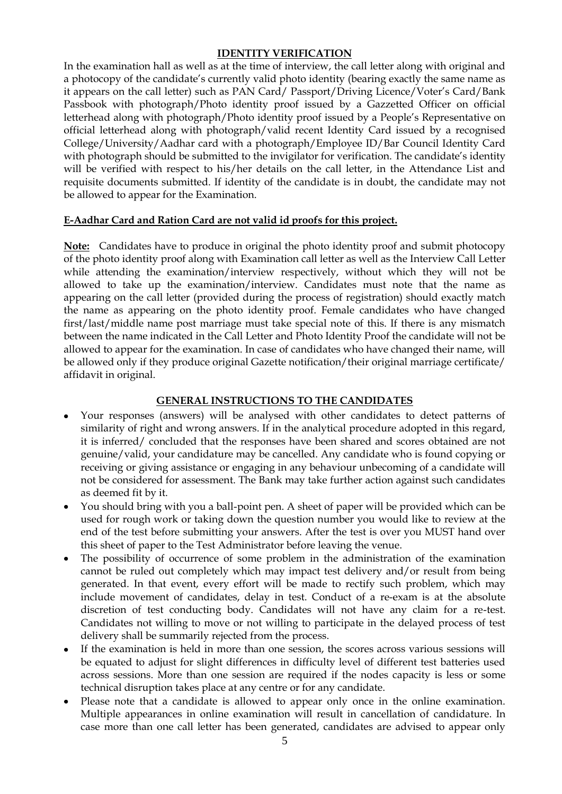#### **IDENTITY VERIFICATION**

In the examination hall as well as at the time of interview, the call letter along with original and a photocopy of the candidate's currently valid photo identity (bearing exactly the same name as it appears on the call letter) such as PAN Card/ Passport/Driving Licence/Voter's Card/Bank Passbook with photograph/Photo identity proof issued by a Gazzetted Officer on official letterhead along with photograph/Photo identity proof issued by a People's Representative on official letterhead along with photograph/valid recent Identity Card issued by a recognised College/University/Aadhar card with a photograph/Employee ID/Bar Council Identity Card with photograph should be submitted to the invigilator for verification. The candidate's identity will be verified with respect to his/her details on the call letter, in the Attendance List and requisite documents submitted. If identity of the candidate is in doubt, the candidate may not be allowed to appear for the Examination.

# **E-Aadhar Card and Ration Card are not valid id proofs for this project.**

**Note:** Candidates have to produce in original the photo identity proof and submit photocopy of the photo identity proof along with Examination call letter as well as the Interview Call Letter while attending the examination/interview respectively, without which they will not be allowed to take up the examination/interview. Candidates must note that the name as appearing on the call letter (provided during the process of registration) should exactly match the name as appearing on the photo identity proof. Female candidates who have changed first/last/middle name post marriage must take special note of this. If there is any mismatch between the name indicated in the Call Letter and Photo Identity Proof the candidate will not be allowed to appear for the examination. In case of candidates who have changed their name, will be allowed only if they produce original Gazette notification/their original marriage certificate/ affidavit in original.

# **GENERAL INSTRUCTIONS TO THE CANDIDATES**

- Your responses (answers) will be analysed with other candidates to detect patterns of similarity of right and wrong answers. If in the analytical procedure adopted in this regard, it is inferred/ concluded that the responses have been shared and scores obtained are not genuine/valid, your candidature may be cancelled. Any candidate who is found copying or receiving or giving assistance or engaging in any behaviour unbecoming of a candidate will not be considered for assessment. The Bank may take further action against such candidates as deemed fit by it.
- You should bring with you a ball-point pen. A sheet of paper will be provided which can be used for rough work or taking down the question number you would like to review at the end of the test before submitting your answers. After the test is over you MUST hand over this sheet of paper to the Test Administrator before leaving the venue.
- The possibility of occurrence of some problem in the administration of the examination cannot be ruled out completely which may impact test delivery and/or result from being generated. In that event, every effort will be made to rectify such problem, which may include movement of candidates, delay in test. Conduct of a re-exam is at the absolute discretion of test conducting body. Candidates will not have any claim for a re-test. Candidates not willing to move or not willing to participate in the delayed process of test delivery shall be summarily rejected from the process.
- If the examination is held in more than one session, the scores across various sessions will  $\bullet$ be equated to adjust for slight differences in difficulty level of different test batteries used across sessions. More than one session are required if the nodes capacity is less or some technical disruption takes place at any centre or for any candidate.
- Please note that a candidate is allowed to appear only once in the online examination. Multiple appearances in online examination will result in cancellation of candidature. In case more than one call letter has been generated, candidates are advised to appear only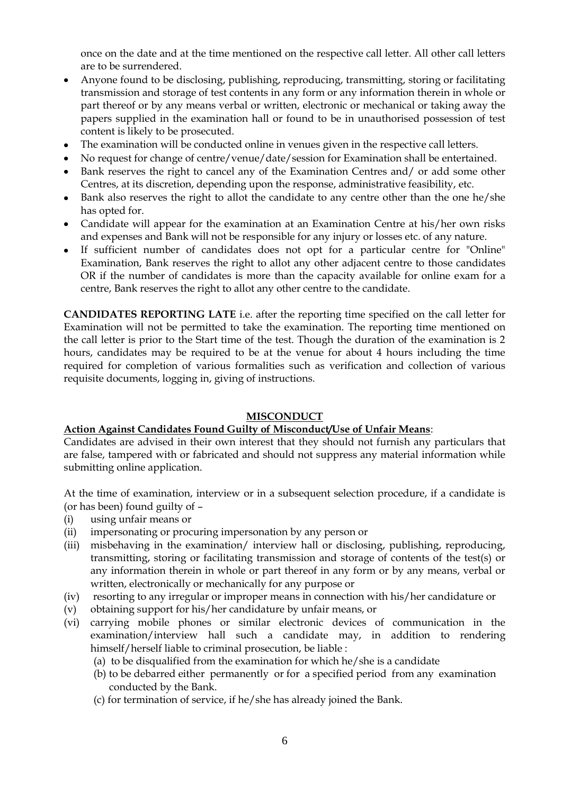once on the date and at the time mentioned on the respective call letter. All other call letters are to be surrendered.

- Anyone found to be disclosing, publishing, reproducing, transmitting, storing or facilitating  $\bullet$ transmission and storage of test contents in any form or any information therein in whole or part thereof or by any means verbal or written, electronic or mechanical or taking away the papers supplied in the examination hall or found to be in unauthorised possession of test content is likely to be prosecuted.
- The examination will be conducted online in venues given in the respective call letters.
- No request for change of centre/venue/date/session for Examination shall be entertained.
- Bank reserves the right to cancel any of the Examination Centres and/ or add some other Centres, at its discretion, depending upon the response, administrative feasibility, etc.
- Bank also reserves the right to allot the candidate to any centre other than the one he/she has opted for.
- Candidate will appear for the examination at an Examination Centre at his/her own risks and expenses and Bank will not be responsible for any injury or losses etc. of any nature.
- If sufficient number of candidates does not opt for a particular centre for "Online"  $\bullet$ Examination, Bank reserves the right to allot any other adjacent centre to those candidates OR if the number of candidates is more than the capacity available for online exam for a centre, Bank reserves the right to allot any other centre to the candidate.

**CANDIDATES REPORTING LATE** i.e. after the reporting time specified on the call letter for Examination will not be permitted to take the examination. The reporting time mentioned on the call letter is prior to the Start time of the test. Though the duration of the examination is 2 hours, candidates may be required to be at the venue for about 4 hours including the time required for completion of various formalities such as verification and collection of various requisite documents, logging in, giving of instructions.

#### **MISCONDUCT**

#### **Action Against Candidates Found Guilty of Misconduct/Use of Unfair Means**:

Candidates are advised in their own interest that they should not furnish any particulars that are false, tampered with or fabricated and should not suppress any material information while submitting online application.

At the time of examination, interview or in a subsequent selection procedure, if a candidate is (or has been) found guilty of –

- (i) using unfair means or
- (ii) impersonating or procuring impersonation by any person or
- (iii) misbehaving in the examination/ interview hall or disclosing, publishing, reproducing, transmitting, storing or facilitating transmission and storage of contents of the test(s) or any information therein in whole or part thereof in any form or by any means, verbal or written, electronically or mechanically for any purpose or
- (iv) resorting to any irregular or improper means in connection with his/her candidature or
- (v) obtaining support for his/her candidature by unfair means, or
- (vi) carrying mobile phones or similar electronic devices of communication in the examination/interview hall such a candidate may, in addition to rendering himself/herself liable to criminal prosecution, be liable :
	- (a) to be disqualified from the examination for which he/she is a candidate
	- (b) to be debarred either permanently or for a specified period from any examination conducted by the Bank.
	- (c) for termination of service, if he/she has already joined the Bank.